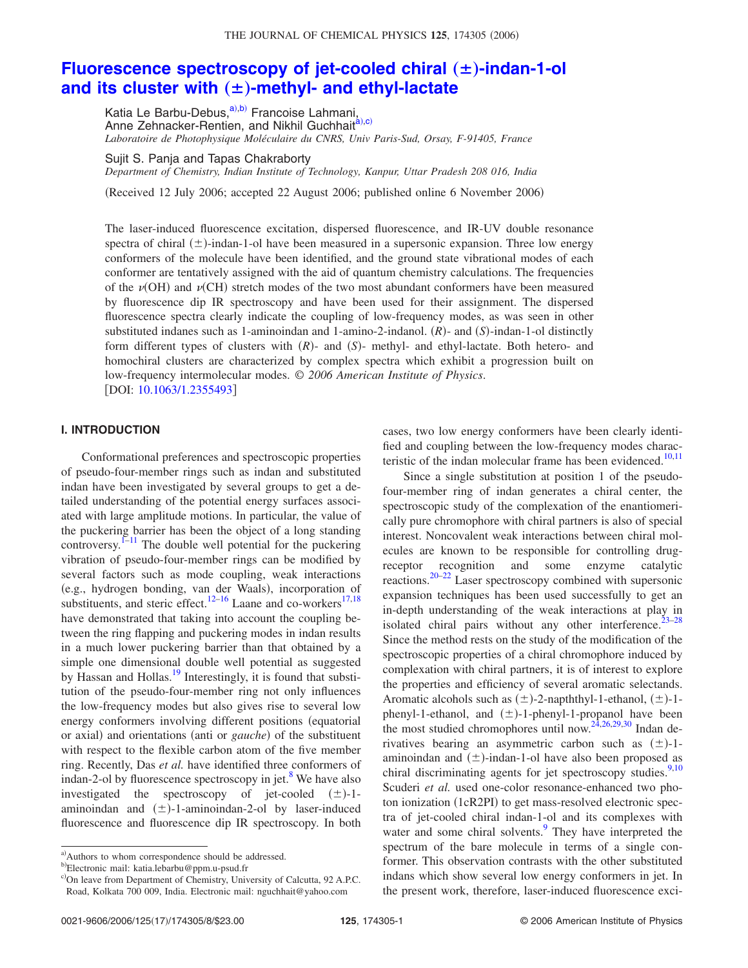# THE JOURNAL OF CHEMICAL PHYSICS 125, 174305 (2006)

# **Fluorescence spectroscopy of jet-cooled chiral (** $\pm$ **)-indan-1-ol** and its cluster with  $(\pm)$ -methyl- and ethyl-lactate

Katia Le Barbu-Debus,<sup>a),b)</sup> Francoise Lahmani, Anne Zehnacker-Rentien, and Nikhil Guchhait<sup>a,c)</sup> *Laboratoire de Photophysique Moléculaire du CNRS, Univ Paris-Sud, Orsay, F-91405, France*

Sujit S. Panja and Tapas Chakraborty *Department of Chemistry, Indian Institute of Technology, Kanpur, Uttar Pradesh 208 016, India*

(Received 12 July 2006; accepted 22 August 2006; published online 6 November 2006)

The laser-induced fluorescence excitation, dispersed fluorescence, and IR-UV double resonance spectra of chiral  $(\pm)$ -indan-1-ol have been measured in a supersonic expansion. Three low energy conformers of the molecule have been identified, and the ground state vibrational modes of each conformer are tentatively assigned with the aid of quantum chemistry calculations. The frequencies of the  $\nu(\text{OH})$  and  $\nu(\text{CH})$  stretch modes of the two most abundant conformers have been measured by fluorescence dip IR spectroscopy and have been used for their assignment. The dispersed fluorescence spectra clearly indicate the coupling of low-frequency modes, as was seen in other substituted indanes such as 1-aminoindan and 1-amino-2-indanol. (R)- and (S)-indan-1-ol distinctly form different types of clusters with  $(R)$ - and  $(S)$ - methyl- and ethyl-lactate. Both hetero- and homochiral clusters are characterized by complex spectra which exhibit a progression built on low-frequency intermolecular modes. © *2006 American Institute of Physics*. [DOI: 10.1063/1.2355493]

# **I. INTRODUCTION**

Conformational preferences and spectroscopic properties of pseudo-four-member rings such as indan and substituted indan have been investigated by several groups to get a detailed understanding of the potential energy surfaces associated with large amplitude motions. In particular, the value of the puckering barrier has been the object of a long standing controversy. $]$ <sup>1–11</sup> The double well potential for the puckering vibration of pseudo-four-member rings can be modified by several factors such as mode coupling, weak interactions (e.g., hydrogen bonding, van der Waals), incorporation of substituents, and steric effect.<sup>12–16</sup> Laane and co-workers<sup>17,18</sup> have demonstrated that taking into account the coupling between the ring flapping and puckering modes in indan results in a much lower puckering barrier than that obtained by a simple one dimensional double well potential as suggested by Hassan and Hollas.<sup>19</sup> Interestingly, it is found that substitution of the pseudo-four-member ring not only influences the low-frequency modes but also gives rise to several low energy conformers involving different positions (equatorial or axial) and orientations (anti or *gauche*) of the substituent with respect to the flexible carbon atom of the five member ring. Recently, Das *et al.* have identified three conformers of indan-2-ol by fluorescence spectroscopy in jet. $8$  We have also investigated the spectroscopy of jet-cooled  $(\pm)$ -1aminoindan and  $(\pm)$ -1-aminoindan-2-ol by laser-induced fluorescence and fluorescence dip IR spectroscopy. In both

cases, two low energy conformers have been clearly identified and coupling between the low-frequency modes characteristic of the indan molecular frame has been evidenced.<sup>10,11</sup>

Since a single substitution at position 1 of the pseudofour-member ring of indan generates a chiral center, the spectroscopic study of the complexation of the enantiomerically pure chromophore with chiral partners is also of special interest. Noncovalent weak interactions between chiral molecules are known to be responsible for controlling drugreceptor recognition and some enzyme catalytic reactions.<sup>20–22</sup> Laser spectroscopy combined with supersonic expansion techniques has been used successfully to get an in-depth understanding of the weak interactions at play in isolated chiral pairs without any other interference. $23-28$ Since the method rests on the study of the modification of the spectroscopic properties of a chiral chromophore induced by complexation with chiral partners, it is of interest to explore the properties and efficiency of several aromatic selectands. Aromatic alcohols such as  $(\pm)$ -2-napththyl-1-ethanol,  $(\pm)$ -1phenyl-1-ethanol, and  $(\pm)$ -1-phenyl-1-propanol have been the most studied chromophores until now.<sup>24,26,29,30</sup> Indan derivatives bearing an asymmetric carbon such as  $(\pm)$ -1aminoindan and  $(\pm)$ -indan-1-ol have also been proposed as chiral discriminating agents for jet spectroscopy studies. $9,10$ Scuderi et al. used one-color resonance-enhanced two photon ionization (1cR2PI) to get mass-resolved electronic spectra of jet-cooled chiral indan-1-ol and its complexes with water and some chiral solvents.<sup>9</sup> They have interpreted the spectrum of the bare molecule in terms of a single conformer. This observation contrasts with the other substituted indans which show several low energy conformers in jet. In the present work, therefore, laser-induced fluorescence exci-

a) Authors to whom correspondence should be addressed.

b)Electronic mail: katia.lebarbu@ppm.u-psud.fr

c)On leave from Department of Chemistry, University of Calcutta, 92 A.P.C. Road, Kolkata 700 009, India. Electronic mail: nguchhait@yahoo.com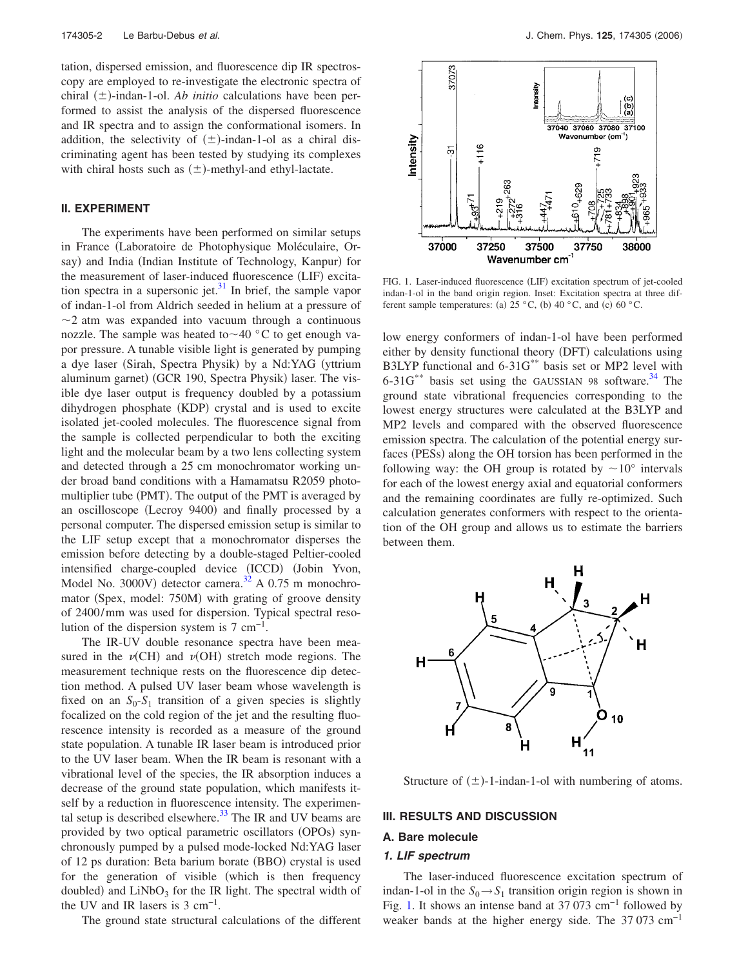tation, dispersed emission, and fluorescence dip IR spectroscopy are employed to re-investigate the electronic spectra of chiral  $(\pm)$ -indan-1-ol. *Ab initio* calculations have been performed to assist the analysis of the dispersed fluorescence and IR spectra and to assign the conformational isomers. In addition, the selectivity of  $(\pm)$ -indan-1-ol as a chiral discriminating agent has been tested by studying its complexes with chiral hosts such as  $(\pm)$ -methyl-and ethyl-lactate.

### **II. EXPERIMENT**

The experiments have been performed on similar setups in France Laboratoire de Photophysique Moléculaire, Orsay) and India (Indian Institute of Technology, Kanpur) for the measurement of laser-induced fluorescence (LIF) excitation spectra in a supersonic jet. $31$  In brief, the sample vapor of indan-1-ol from Aldrich seeded in helium at a pressure of  $\sim$ 2 atm was expanded into vacuum through a continuous nozzle. The sample was heated to $\sim$ 40 °C to get enough vapor pressure. A tunable visible light is generated by pumping a dye laser (Sirah, Spectra Physik) by a Nd:YAG (yttrium aluminum garnet) (GCR 190, Spectra Physik) laser. The visible dye laser output is frequency doubled by a potassium dihydrogen phosphate (KDP) crystal and is used to excite isolated jet-cooled molecules. The fluorescence signal from the sample is collected perpendicular to both the exciting light and the molecular beam by a two lens collecting system and detected through a 25 cm monochromator working under broad band conditions with a Hamamatsu R2059 photomultiplier tube (PMT). The output of the PMT is averaged by an oscilloscope (Lecroy 9400) and finally processed by a personal computer. The dispersed emission setup is similar to the LIF setup except that a monochromator disperses the emission before detecting by a double-staged Peltier-cooled intensified charge-coupled device (ICCD) (Jobin Yvon, Model No. 3000V) detector camera.<sup>32</sup> A 0.75 m monochromator (Spex, model: 750M) with grating of groove density of 2400/mm was used for dispersion. Typical spectral resolution of the dispersion system is  $7 \text{ cm}^{-1}$ .

The IR-UV double resonance spectra have been measured in the  $\nu$ (CH) and  $\nu$ (OH) stretch mode regions. The measurement technique rests on the fluorescence dip detection method. A pulsed UV laser beam whose wavelength is fixed on an  $S_0$ - $S_1$  transition of a given species is slightly focalized on the cold region of the jet and the resulting fluorescence intensity is recorded as a measure of the ground state population. A tunable IR laser beam is introduced prior to the UV laser beam. When the IR beam is resonant with a vibrational level of the species, the IR absorption induces a decrease of the ground state population, which manifests itself by a reduction in fluorescence intensity. The experimental setup is described elsewhere. $33$  The IR and UV beams are provided by two optical parametric oscillators (OPOs) synchronously pumped by a pulsed mode-locked Nd:YAG laser of 12 ps duration: Beta barium borate (BBO) crystal is used for the generation of visible (which is then frequency doubled) and  $LiNbO<sub>3</sub>$  for the IR light. The spectral width of the UV and IR lasers is  $3 \text{ cm}^{-1}$ .

The ground state structural calculations of the different



FIG. 1. Laser-induced fluorescence (LIF) excitation spectrum of jet-cooled indan-1-ol in the band origin region. Inset: Excitation spectra at three different sample temperatures: (a)  $25 °C$ , (b)  $40 °C$ , and (c)  $60 °C$ .

low energy conformers of indan-1-ol have been performed either by density functional theory (DFT) calculations using B3LYP functional and 6-31G\*\* basis set or MP2 level with  $6-31G^{**}$  basis set using the GAUSSIAN 98 software.<sup>34</sup> The ground state vibrational frequencies corresponding to the lowest energy structures were calculated at the B3LYP and MP2 levels and compared with the observed fluorescence emission spectra. The calculation of the potential energy surfaces (PESs) along the OH torsion has been performed in the following way: the OH group is rotated by  $\sim 10^{\circ}$  intervals for each of the lowest energy axial and equatorial conformers and the remaining coordinates are fully re-optimized. Such calculation generates conformers with respect to the orientation of the OH group and allows us to estimate the barriers between them.



Structure of  $(\pm)$ -1-indan-1-ol with numbering of atoms.

#### **III. RESULTS AND DISCUSSION**

#### **A. Bare molecule**

### **1. LIF spectrum**

The laser-induced fluorescence excitation spectrum of indan-1-ol in the  $S_0 \rightarrow S_1$  transition origin region is shown in Fig. 1. It shows an intense band at 37 073 cm−1 followed by weaker bands at the higher energy side. The 37 073 cm<sup>-1</sup>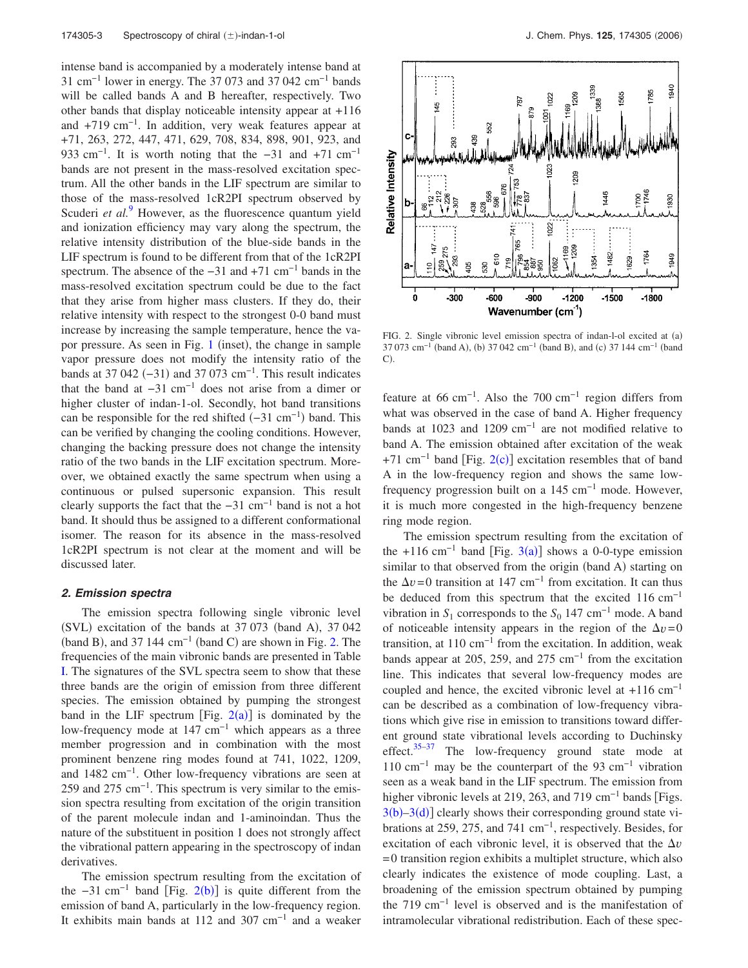intense band is accompanied by a moderately intense band at 31 cm−1 lower in energy. The 37 073 and 37 042 cm−1 bands will be called bands A and B hereafter, respectively. Two other bands that display noticeable intensity appear at +116 and +719 cm−1. In addition, very weak features appear at +71, 263, 272, 447, 471, 629, 708, 834, 898, 901, 923, and 933 cm<sup>-1</sup>. It is worth noting that the  $-31$  and  $+71$  cm<sup>-1</sup> bands are not present in the mass-resolved excitation spectrum. All the other bands in the LIF spectrum are similar to those of the mass-resolved 1cR2PI spectrum observed by Scuderi *et al.*<sup>9</sup> However, as the fluorescence quantum yield and ionization efficiency may vary along the spectrum, the relative intensity distribution of the blue-side bands in the LIF spectrum is found to be different from that of the 1cR2PI spectrum. The absence of the  $-31$  and  $+71$  cm<sup>-1</sup> bands in the mass-resolved excitation spectrum could be due to the fact that they arise from higher mass clusters. If they do, their relative intensity with respect to the strongest 0-0 band must increase by increasing the sample temperature, hence the vapor pressure. As seen in Fig. 1 (inset), the change in sample vapor pressure does not modify the intensity ratio of the bands at 37 042  $(-31)$  and 37 073 cm<sup>-1</sup>. This result indicates that the band at  $-31$  cm<sup>-1</sup> does not arise from a dimer or higher cluster of indan-1-ol. Secondly, hot band transitions can be responsible for the red shifted  $(-31 \text{ cm}^{-1})$  band. This can be verified by changing the cooling conditions. However, changing the backing pressure does not change the intensity ratio of the two bands in the LIF excitation spectrum. Moreover, we obtained exactly the same spectrum when using a continuous or pulsed supersonic expansion. This result clearly supports the fact that the  $-31$  cm<sup>-1</sup> band is not a hot band. It should thus be assigned to a different conformational isomer. The reason for its absence in the mass-resolved 1cR2PI spectrum is not clear at the moment and will be discussed later.

#### **2. Emission spectra**

The emission spectra following single vibronic level (SVL) excitation of the bands at 37 073 (band A), 37 042 (band B), and 37 144  $cm^{-1}$  (band C) are shown in Fig. 2. The frequencies of the main vibronic bands are presented in Table I. The signatures of the SVL spectra seem to show that these three bands are the origin of emission from three different species. The emission obtained by pumping the strongest band in the LIF spectrum [Fig.  $2(a)$ ] is dominated by the low-frequency mode at 147 cm−1 which appears as a three member progression and in combination with the most prominent benzene ring modes found at 741, 1022, 1209, and 1482 cm−1. Other low-frequency vibrations are seen at 259 and 275 cm<sup>-1</sup>. This spectrum is very similar to the emission spectra resulting from excitation of the origin transition of the parent molecule indan and 1-aminoindan. Thus the nature of the substituent in position 1 does not strongly affect the vibrational pattern appearing in the spectroscopy of indan derivatives.

The emission spectrum resulting from the excitation of the  $-31$  cm<sup>-1</sup> band [Fig. 2(b)] is quite different from the emission of band A, particularly in the low-frequency region. It exhibits main bands at 112 and 307 cm−1 and a weaker



FIG. 2. Single vibronic level emission spectra of indan-l-ol excited at (a) 37 073 cm<sup>-1</sup> (band A), (b) 37 042 cm<sup>-1</sup> (band B), and (c) 37 144 cm<sup>-1</sup> (band  $C$ ).

feature at 66 cm−1. Also the 700 cm−1 region differs from what was observed in the case of band A. Higher frequency bands at 1023 and 1209 cm−1 are not modified relative to band A. The emission obtained after excitation of the weak +71 cm<sup>-1</sup> band [Fig. 2(c)] excitation resembles that of band A in the low-frequency region and shows the same lowfrequency progression built on a  $145 \text{ cm}^{-1}$  mode. However, it is much more congested in the high-frequency benzene ring mode region.

The emission spectrum resulting from the excitation of the +116 cm<sup>-1</sup> band [Fig. 3(a)] shows a 0-0-type emission similar to that observed from the origin (band A) starting on the  $\Delta v$ =0 transition at 147 cm<sup>-1</sup> from excitation. It can thus be deduced from this spectrum that the excited 116 cm−1 vibration in  $S_1$  corresponds to the  $S_0$  147 cm<sup>-1</sup> mode. A band of noticeable intensity appears in the region of the  $\Delta v=0$ transition, at  $110 \text{ cm}^{-1}$  from the excitation. In addition, weak bands appear at 205, 259, and 275 cm−1 from the excitation line. This indicates that several low-frequency modes are coupled and hence, the excited vibronic level at  $+116$  cm<sup>-1</sup> can be described as a combination of low-frequency vibrations which give rise in emission to transitions toward different ground state vibrational levels according to Duchinsky effect. $35-37$  The low-frequency ground state mode at 110 cm−1 may be the counterpart of the 93 cm−1 vibration seen as a weak band in the LIF spectrum. The emission from higher vibronic levels at 219, 263, and 719 cm<sup>-1</sup> bands [Figs.  $3(b) - 3(d)$ ] clearly shows their corresponding ground state vibrations at 259, 275, and 741 cm−1, respectively. Besides, for excitation of each vibronic level, it is observed that the  $\Delta v$ =0 transition region exhibits a multiplet structure, which also clearly indicates the existence of mode coupling. Last, a broadening of the emission spectrum obtained by pumping the 719 cm−1 level is observed and is the manifestation of intramolecular vibrational redistribution. Each of these spec-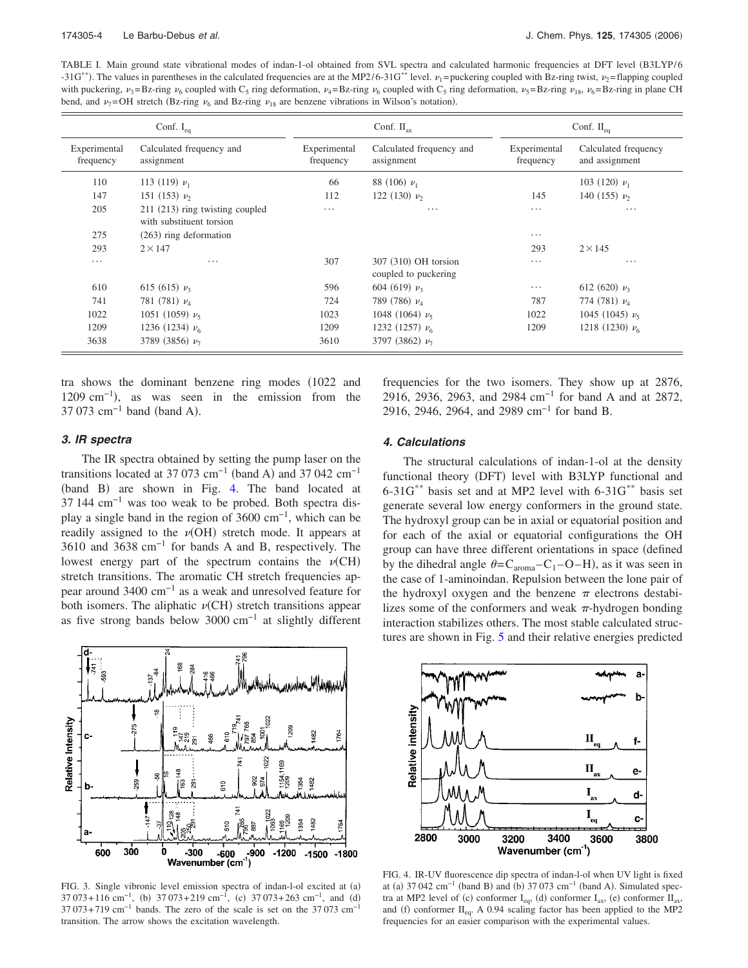TABLE I. Main ground state vibrational modes of indan-1-ol obtained from SVL spectra and calculated harmonic frequencies at DFT level B3LYP/6 -31G<sup>\*\*</sup>). The values in parentheses in the calculated frequencies are at the MP2/6-31G<sup>\*\*</sup> level.  $\nu_1$ = puckering coupled with Bz-ring twist,  $\nu_2$ = flapping coupled with puckering,  $v_3 = Bz$ -ring  $v_6$  coupled with C<sub>5</sub> ring deformation,  $v_4 = Bz$ -ring  $v_6$  coupled with C<sub>5</sub> ring deformation,  $v_5 = Bz$ -ring  $v_{18}$ ,  $v_6 = Bz$ -ring in plane CH bend, and  $\nu_7$ =OH stretch (Bz-ring  $\nu_6$  and Bz-ring  $\nu_{18}$  are benzene vibrations in Wilson's notation).

| Conf. $I_{eq}$            |                                                             | Conf. $II_{\alpha x}$     |                                              | Conf. $II_{eq}$           |                                        |
|---------------------------|-------------------------------------------------------------|---------------------------|----------------------------------------------|---------------------------|----------------------------------------|
| Experimental<br>frequency | Calculated frequency and<br>assignment                      | Experimental<br>frequency | Calculated frequency and<br>assignment       | Experimental<br>frequency | Calculated frequency<br>and assignment |
| 110                       | 113 (119) $\nu_1$                                           | 66                        | 88 (106) $\nu_1$                             |                           | 103 (120) $\nu_1$                      |
| 147                       | 151 (153) $\nu_2$                                           | 112                       | 122 (130) $\nu_2$                            | 145                       | 140 (155) $\nu_2$                      |
| 205                       | 211 (213) ring twisting coupled<br>with substituent torsion | $\cdots$                  | $\cdots$                                     | $\cdots$                  | $\cdots$                               |
| 275                       | $(263)$ ring deformation                                    |                           |                                              | $\cdots$                  |                                        |
| 293                       | $2 \times 147$                                              |                           |                                              | 293                       | $2 \times 145$                         |
| $\cdots$                  | .                                                           | 307                       | 307 (310) OH torsion<br>coupled to puckering | $\cdots$                  | $\cdots$                               |
| 610                       | 615 (615) $\nu_3$                                           | 596                       | 604 (619) $\nu_3$                            | $\cdots$                  | 612 (620) $\nu_3$                      |
| 741                       | 781 $(781)$ $\nu_4$                                         | 724                       | 789 (786) $\nu_4$                            | 787                       | 774 (781) $\nu_4$                      |
| 1022                      | 1051 (1059) $\nu_5$                                         | 1023                      | 1048 (1064) $\nu_5$                          | 1022                      | 1045 (1045) $\nu_5$                    |
| 1209                      | 1236 (1234) $\nu_6$                                         | 1209                      | 1232 (1257) $\nu_6$                          | 1209                      | 1218 (1230) $\nu_6$                    |
| 3638                      | 3789 (3856) $\nu$ <sub>7</sub>                              | 3610                      | 3797 (3862) $\nu$ <sub>7</sub>               |                           |                                        |

tra shows the dominant benzene ring modes 1022 and 1209 cm<sup>-1</sup>), as was seen in the emission from the 37 073  $\text{cm}^{-1}$  band (band A).

# frequencies for the two isomers. They show up at 2876, 2916, 2936, 2963, and 2984 cm<sup>-1</sup> for band A and at 2872, 2916, 2946, 2964, and 2989 cm<sup>-1</sup> for band B.

## **3. IR spectra**

The IR spectra obtained by setting the pump laser on the transitions located at 37 073 cm<sup>-1</sup> (band A) and 37 042 cm<sup>-1</sup> (band B) are shown in Fig. 4. The band located at 37 144 cm−1 was too weak to be probed. Both spectra display a single band in the region of 3600 cm−1, which can be readily assigned to the  $\nu(OH)$  stretch mode. It appears at 3610 and 3638 cm−1 for bands A and B, respectively. The lowest energy part of the spectrum contains the  $\nu$ (CH) stretch transitions. The aromatic CH stretch frequencies appear around 3400 cm−1 as a weak and unresolved feature for both isomers. The aliphatic  $\nu$ (CH) stretch transitions appear as five strong bands below 3000 cm−1 at slightly different



FIG. 3. Single vibronic level emission spectra of indan-l-ol excited at (a)  $37073+116$  cm<sup>-1</sup>, (b)  $37073+219$  cm<sup>-1</sup>, (c)  $37073+263$  cm<sup>-1</sup>, and (d)  $37073+719$  cm<sup>-1</sup> bands. The zero of the scale is set on the 37073 cm<sup>-1</sup> transition. The arrow shows the excitation wavelength.

#### **4. Calculations**

The structural calculations of indan-1-ol at the density functional theory (DFT) level with B3LYP functional and 6-31G\*\* basis set and at MP2 level with 6-31G\*\* basis set generate several low energy conformers in the ground state. The hydroxyl group can be in axial or equatorial position and for each of the axial or equatorial configurations the OH group can have three different orientations in space defined by the dihedral angle  $\theta = C_{\text{aroma}} - C_1 - O - H$ , as it was seen in the case of 1-aminoindan. Repulsion between the lone pair of the hydroxyl oxygen and the benzene  $\pi$  electrons destabilizes some of the conformers and weak  $\pi$ -hydrogen bonding interaction stabilizes others. The most stable calculated structures are shown in Fig. 5 and their relative energies predicted



FIG. 4. IR-UV fluorescence dip spectra of indan-l-ol when UV light is fixed at (a)  $37.042 \text{ cm}^{-1}$  (band B) and (b)  $37.073 \text{ cm}^{-1}$  (band A). Simulated spectra at MP2 level of (c) conformer  $I_{eq}$ , (d) conformer  $I_{ax}$ , (e) conformer  $II_{ax}$ , and (f) conformer  $II_{eq}$ . A 0.94 scaling factor has been applied to the MP2 frequencies for an easier comparison with the experimental values.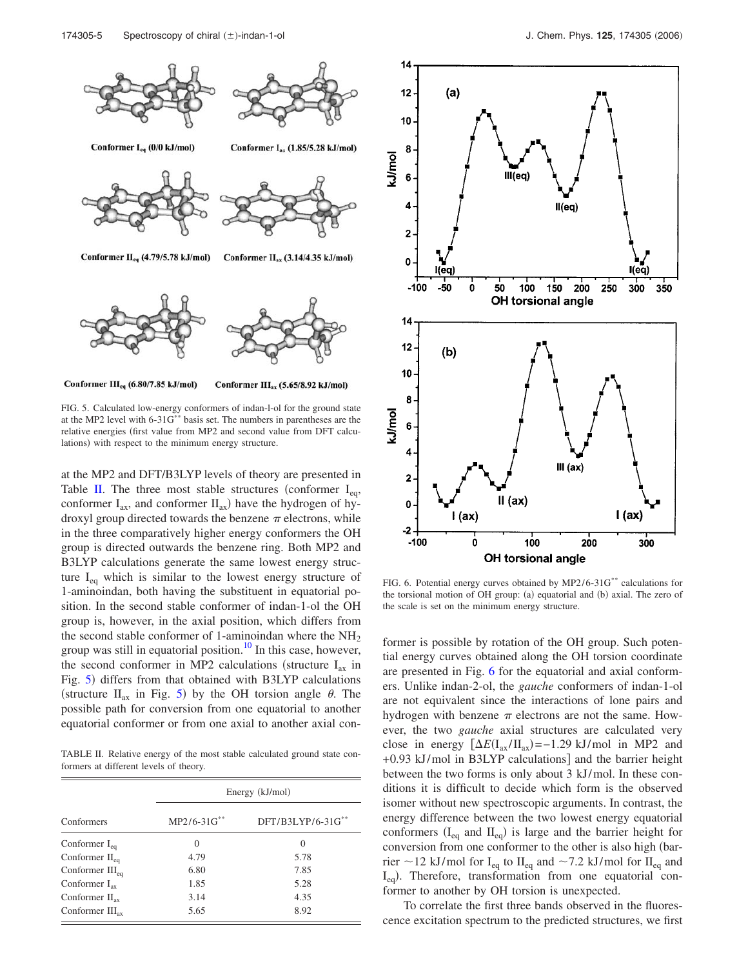



Conformer III<sub>eq</sub> (6.80/7.85 kJ/mol) Conformer III<sub>ax</sub> (5.65/8.92 kJ/mol)

FIG. 5. Calculated low-energy conformers of indan-l-ol for the ground state at the MP2 level with 6-31G\*\* basis set. The numbers in parentheses are the relative energies first value from MP2 and second value from DFT calculations) with respect to the minimum energy structure.

at the MP2 and DFT/B3LYP levels of theory are presented in Table II. The three most stable structures (conformer  $I_{eq}$ , conformer  $I_{ax}$ , and conformer  $II_{ax}$ ) have the hydrogen of hydroxyl group directed towards the benzene  $\pi$  electrons, while in the three comparatively higher energy conformers the OH group is directed outwards the benzene ring. Both MP2 and B3LYP calculations generate the same lowest energy structure  $I_{eq}$  which is similar to the lowest energy structure of 1-aminoindan, both having the substituent in equatorial position. In the second stable conformer of indan-1-ol the OH group is, however, in the axial position, which differs from the second stable conformer of 1-aminoindan where the  $NH<sub>2</sub>$ group was still in equatorial position. $10$  In this case, however, the second conformer in MP2 calculations (structure  $I_{ax}$  in Fig. 5) differs from that obtained with B3LYP calculations (structure  $II_{ax}$  in Fig. 5) by the OH torsion angle  $\theta$ . The possible path for conversion from one equatorial to another equatorial conformer or from one axial to another axial con-

TABLE II. Relative energy of the most stable calculated ground state conformers at different levels of theory.

|                            | Energy (kJ/mol) |                      |  |  |
|----------------------------|-----------------|----------------------|--|--|
| Conformers                 | $MP2/6-31G***$  | $DFT/B3LYP/6-31G***$ |  |  |
| Conformer $I_{eq}$         | $\Omega$        | $\Omega$             |  |  |
| Conformer $II_{eq}$        | 4.79            | 5.78                 |  |  |
| Conformer $III_{eq}$       | 6.80            | 7.85                 |  |  |
| Conformer $I_{\rm ax}$     | 1.85            | 5.28                 |  |  |
| Conformer $II_{\rm ax}$    | 3.14            | 4.35                 |  |  |
| Conformer $III_{\alpha x}$ | 5.65            | 8.92                 |  |  |



FIG. 6. Potential energy curves obtained by MP2/6-31G\*\* calculations for the torsional motion of OH group: (a) equatorial and (b) axial. The zero of the scale is set on the minimum energy structure.

former is possible by rotation of the OH group. Such potential energy curves obtained along the OH torsion coordinate are presented in Fig. 6 for the equatorial and axial conformers. Unlike indan-2-ol, the *gauche* conformers of indan-1-ol are not equivalent since the interactions of lone pairs and hydrogen with benzene  $\pi$  electrons are not the same. However, the two *gauche* axial structures are calculated very close in energy  $[\Delta E(I_{ax}/II_{ax}) = -1.29 \text{ kJ/mol}$  in MP2 and  $+0.93$  kJ/mol in B3LYP calculations] and the barrier height between the two forms is only about 3 kJ/mol. In these conditions it is difficult to decide which form is the observed isomer without new spectroscopic arguments. In contrast, the energy difference between the two lowest energy equatorial conformers  $(I_{eq}$  and  $II_{eq}$ ) is large and the barrier height for conversion from one conformer to the other is also high (barrier  $\sim$  12 kJ/mol for I<sub>eq</sub> to II<sub>eq</sub> and  $\sim$  7.2 kJ/mol for II<sub>eq</sub> and I<sub>eq</sub>). Therefore, transformation from one equatorial conformer to another by OH torsion is unexpected.

To correlate the first three bands observed in the fluorescence excitation spectrum to the predicted structures, we first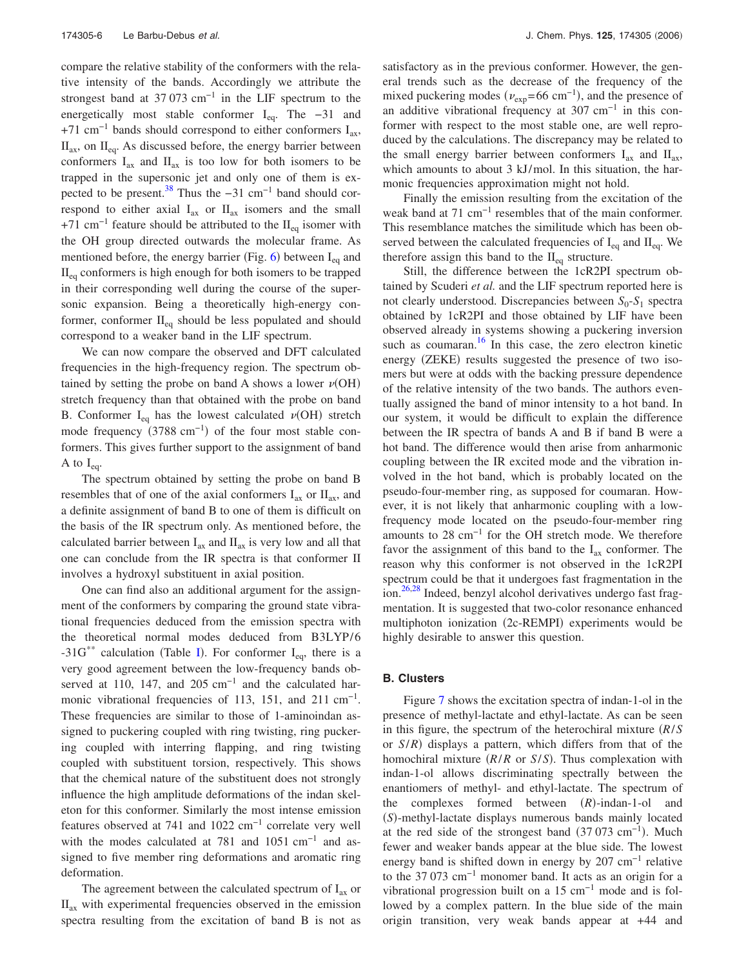compare the relative stability of the conformers with the relative intensity of the bands. Accordingly we attribute the strongest band at  $37073$  cm<sup>-1</sup> in the LIF spectrum to the energetically most stable conformer  $I_{eq}$ . The -31 and +71 cm<sup>-1</sup> bands should correspond to either conformers  $I_{ax}$ ,  $II_{ax}$ , on  $II_{eq}$ . As discussed before, the energy barrier between conformers  $I_{ax}$  and  $II_{ax}$  is too low for both isomers to be trapped in the supersonic jet and only one of them is expected to be present.<sup>38</sup> Thus the  $-31$  cm<sup>-1</sup> band should correspond to either axial  $I_{ax}$  or  $II_{ax}$  isomers and the small +71 cm<sup>-1</sup> feature should be attributed to the II<sub>eq</sub> isomer with the OH group directed outwards the molecular frame. As mentioned before, the energy barrier (Fig.  $6$ ) between I<sub>eq</sub> and  $II_{eq}$  conformers is high enough for both isomers to be trapped in their corresponding well during the course of the supersonic expansion. Being a theoretically high-energy conformer, conformer  $II_{eq}$  should be less populated and should correspond to a weaker band in the LIF spectrum.

We can now compare the observed and DFT calculated frequencies in the high-frequency region. The spectrum obtained by setting the probe on band A shows a lower  $\nu(OH)$ stretch frequency than that obtained with the probe on band B. Conformer  $I_{eq}$  has the lowest calculated  $\nu(OH)$  stretch mode frequency  $(3788 \text{ cm}^{-1})$  of the four most stable conformers. This gives further support to the assignment of band A to  $I_{\text{eq}}$ .

The spectrum obtained by setting the probe on band B resembles that of one of the axial conformers  $I_{ax}$  or  $II_{ax}$ , and a definite assignment of band B to one of them is difficult on the basis of the IR spectrum only. As mentioned before, the calculated barrier between  $I_{ax}$  and  $II_{ax}$  is very low and all that one can conclude from the IR spectra is that conformer II involves a hydroxyl substituent in axial position.

One can find also an additional argument for the assignment of the conformers by comparing the ground state vibrational frequencies deduced from the emission spectra with the theoretical normal modes deduced from B3LYP/6 -31G<sup>\*\*</sup> calculation (Table I). For conformer  $I_{eq}$ , there is a very good agreement between the low-frequency bands observed at 110, 147, and 205 cm<sup>-1</sup> and the calculated harmonic vibrational frequencies of 113, 151, and 211 cm<sup>-1</sup>. These frequencies are similar to those of 1-aminoindan assigned to puckering coupled with ring twisting, ring puckering coupled with interring flapping, and ring twisting coupled with substituent torsion, respectively. This shows that the chemical nature of the substituent does not strongly influence the high amplitude deformations of the indan skeleton for this conformer. Similarly the most intense emission features observed at 741 and 1022 cm−1 correlate very well with the modes calculated at 781 and  $1051 \text{ cm}^{-1}$  and assigned to five member ring deformations and aromatic ring deformation.

The agreement between the calculated spectrum of  $I_{ax}$  or  $II<sub>ax</sub>$  with experimental frequencies observed in the emission spectra resulting from the excitation of band B is not as satisfactory as in the previous conformer. However, the general trends such as the decrease of the frequency of the mixed puckering modes ( $v_{\text{exp}}$ =66 cm<sup>-1</sup>), and the presence of an additive vibrational frequency at  $307 \text{ cm}^{-1}$  in this conformer with respect to the most stable one, are well reproduced by the calculations. The discrepancy may be related to the small energy barrier between conformers  $I_{ax}$  and  $II_{ax}$ , which amounts to about 3 kJ/mol. In this situation, the harmonic frequencies approximation might not hold.

Finally the emission resulting from the excitation of the weak band at 71 cm<sup>-1</sup> resembles that of the main conformer. This resemblance matches the similitude which has been observed between the calculated frequencies of  $I_{eq}$  and  $II_{eq}$ . We therefore assign this band to the  $II_{eq}$  structure.

Still, the difference between the 1cR2PI spectrum obtained by Scuderi *et al.* and the LIF spectrum reported here is not clearly understood. Discrepancies between  $S_0$ - $S_1$  spectra obtained by 1cR2PI and those obtained by LIF have been observed already in systems showing a puckering inversion such as coumaran. $\frac{16}{16}$  In this case, the zero electron kinetic energy (ZEKE) results suggested the presence of two isomers but were at odds with the backing pressure dependence of the relative intensity of the two bands. The authors eventually assigned the band of minor intensity to a hot band. In our system, it would be difficult to explain the difference between the IR spectra of bands A and B if band B were a hot band. The difference would then arise from anharmonic coupling between the IR excited mode and the vibration involved in the hot band, which is probably located on the pseudo-four-member ring, as supposed for coumaran. However, it is not likely that anharmonic coupling with a lowfrequency mode located on the pseudo-four-member ring amounts to 28 cm−1 for the OH stretch mode. We therefore favor the assignment of this band to the  $I_{ax}$  conformer. The reason why this conformer is not observed in the 1cR2PI spectrum could be that it undergoes fast fragmentation in the ion.<sup>26,28</sup> Indeed, benzyl alcohol derivatives undergo fast fragmentation. It is suggested that two-color resonance enhanced multiphoton ionization (2c-REMPI) experiments would be highly desirable to answer this question.

## **B. Clusters**

Figure 7 shows the excitation spectra of indan-1-ol in the presence of methyl-lactate and ethyl-lactate. As can be seen in this figure, the spectrum of the heterochiral mixture *R*/*S* or  $S/R$ ) displays a pattern, which differs from that of the homochiral mixture (R/*R* or *S*/*S*). Thus complexation with indan-1-ol allows discriminating spectrally between the enantiomers of methyl- and ethyl-lactate. The spectrum of the complexes formed between (R)-indan-1-ol and (S)-methyl-lactate displays numerous bands mainly located at the red side of the strongest band  $(37 073 cm^{-1})$ . Much fewer and weaker bands appear at the blue side. The lowest energy band is shifted down in energy by 207 cm<sup>-1</sup> relative to the 37 073 cm−1 monomer band. It acts as an origin for a vibrational progression built on a  $15 \text{ cm}^{-1}$  mode and is followed by a complex pattern. In the blue side of the main origin transition, very weak bands appear at +44 and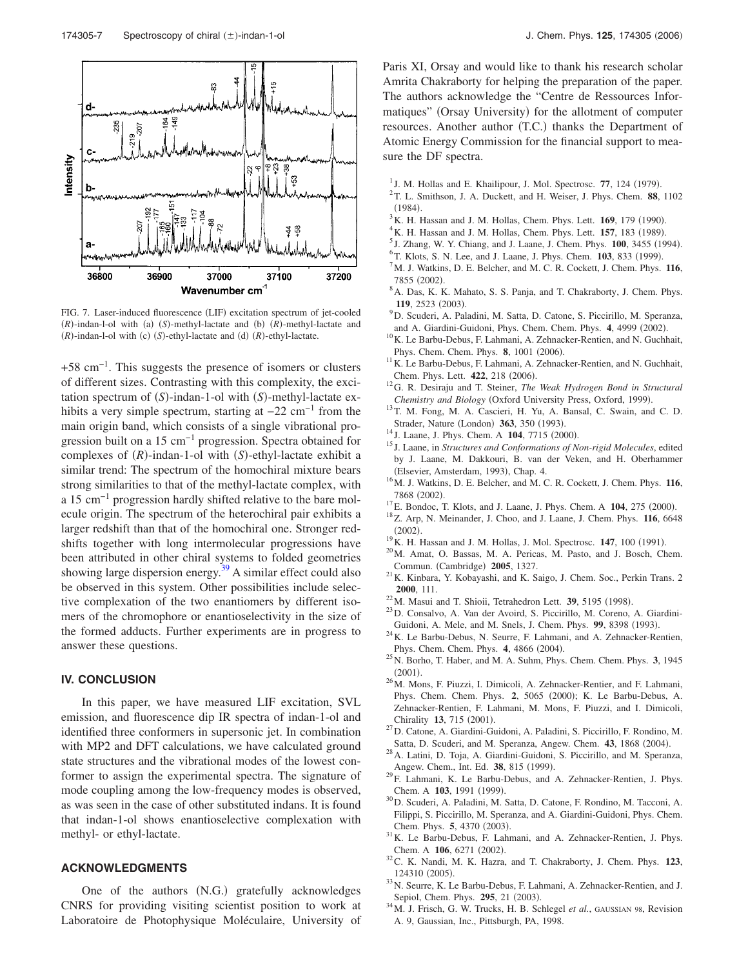

FIG. 7. Laser-induced fluorescence (LIF) excitation spectrum of jet-cooled  $(R)$ -indan-l-ol with (a)  $(S)$ -methyl-lactate and (b)  $(R)$ -methyl-lactate and *(R)*-indan-l-ol with *(c) (S)*-ethyl-lactate and *(d) (R)*-ethyl-lactate.

+58 cm−1. This suggests the presence of isomers or clusters of different sizes. Contrasting with this complexity, the excitation spectrum of *(S)*-indan-1-ol with *(S)*-methyl-lactate exhibits a very simple spectrum, starting at  $-22$  cm<sup>-1</sup> from the main origin band, which consists of a single vibrational progression built on a 15 cm−1 progression. Spectra obtained for complexes of  $(R)$ -indan-1-ol with  $(S)$ -ethyl-lactate exhibit a similar trend: The spectrum of the homochiral mixture bears strong similarities to that of the methyl-lactate complex, with a 15 cm−1 progression hardly shifted relative to the bare molecule origin. The spectrum of the heterochiral pair exhibits a larger redshift than that of the homochiral one. Stronger redshifts together with long intermolecular progressions have been attributed in other chiral systems to folded geometries showing large dispersion energy. $39$  A similar effect could also be observed in this system. Other possibilities include selective complexation of the two enantiomers by different isomers of the chromophore or enantioselectivity in the size of the formed adducts. Further experiments are in progress to answer these questions.

### **IV. CONCLUSION**

In this paper, we have measured LIF excitation, SVL emission, and fluorescence dip IR spectra of indan-1-ol and identified three conformers in supersonic jet. In combination with MP2 and DFT calculations, we have calculated ground state structures and the vibrational modes of the lowest conformer to assign the experimental spectra. The signature of mode coupling among the low-frequency modes is observed, as was seen in the case of other substituted indans. It is found that indan-1-ol shows enantioselective complexation with methyl- or ethyl-lactate.

### **ACKNOWLEDGMENTS**

One of the authors (N.G.) gratefully acknowledges CNRS for providing visiting scientist position to work at Laboratoire de Photophysique Moléculaire, University of Paris XI, Orsay and would like to thank his research scholar Amrita Chakraborty for helping the preparation of the paper. The authors acknowledge the "Centre de Ressources Informatiques" (Orsay University) for the allotment of computer resources. Another author (T.C.) thanks the Department of Atomic Energy Commission for the financial support to measure the DF spectra.

- <sup>1</sup> J. M. Hollas and E. Khailipour, J. Mol. Spectrosc. 77, 124 (1979).
- 2 T. L. Smithson, J. A. Duckett, and H. Weiser, J. Phys. Chem. **88**, 1102  $(1984).$
- $3$ K. H. Hassan and J. M. Hollas, Chem. Phys. Lett.  $169$ , 179 (1990).
- <sup>4</sup> K. H. Hassan and J. M. Hollas, Chem. Phys. Lett. **157**, 183 (1989).
- <sup>5</sup> J. Zhang, W. Y. Chiang, and J. Laane, J. Chem. Phys. **100**, 3455 (1994).
- <sup>6</sup> T. Klots, S. N. Lee, and J. Laane, J. Phys. Chem. **103**, 833 (1999).
- <sup>7</sup>M. J. Watkins, D. E. Belcher, and M. C. R. Cockett, J. Chem. Phys. **116**, 7855 (2002).
- <sup>8</sup>A. Das, K. K. Mahato, S. S. Panja, and T. Chakraborty, J. Chem. Phys. 119, 2523 (2003).
- <sup>9</sup>D. Scuderi, A. Paladini, M. Satta, D. Catone, S. Piccirillo, M. Speranza, and A. Giardini-Guidoni, Phys. Chem. Chem. Phys. 4, 4999 (2002).
- <sup>10</sup>K. Le Barbu-Debus, F. Lahmani, A. Zehnacker-Rentien, and N. Guchhait, Phys. Chem. Chem. Phys. 8, 1001 (2006).
- <sup>11</sup>K. Le Barbu-Debus, F. Lahmani, A. Zehnacker-Rentien, and N. Guchhait, Chem. Phys. Lett. 422, 218 (2006).
- <sup>12</sup>G. R. Desiraju and T. Steiner, *The Weak Hydrogen Bond in Structural* Chemistry and Biology (Oxford University Press, Oxford, 1999).
- <sup>13</sup>T. M. Fong, M. A. Cascieri, H. Yu, A. Bansal, C. Swain, and C. D. Strader, Nature (London) 363, 350 (1993).
- <sup>14</sup> J. Laane, J. Phys. Chem. A **104**, 7715 (2000).
- <sup>15</sup> J. Laane, in *Structures and Conformations of Non-rigid Molecules*, edited by J. Laane, M. Dakkouri, B. van der Veken, and H. Oberhammer (Elsevier, Amsterdam, 1993), Chap. 4.
- <sup>16</sup>M. J. Watkins, D. E. Belcher, and M. C. R. Cockett, J. Chem. Phys. **116**, 7868 (2002).
- <sup>17</sup> E. Bondoc, T. Klots, and J. Laane, J. Phys. Chem. A **104**, 275 (2000).
- <sup>18</sup>Z. Arp, N. Meinander, J. Choo, and J. Laane, J. Chem. Phys. **116**, 6648  $(2002).$
- <sup>19</sup> K. H. Hassan and J. M. Hollas, J. Mol. Spectrosc. **147**, 100 (1991).
- <sup>20</sup>M. Amat, O. Bassas, M. A. Pericas, M. Pasto, and J. Bosch, Chem. Commun. (Cambridge) 2005, 1327.
- <sup>21</sup>K. Kinbara, Y. Kobayashi, and K. Saigo, J. Chem. Soc., Perkin Trans. 2 **2000**, 111.
- $^{22}$ M. Masui and T. Shioii, Tetrahedron Lett. **39**, 5195 (1998).
- <sup>23</sup>D. Consalvo, A. Van der Avoird, S. Piccirillo, M. Coreno, A. Giardini-Guidoni, A. Mele, and M. Snels, J. Chem. Phys. 99, 8398 (1993).
- <sup>24</sup>K. Le Barbu-Debus, N. Seurre, F. Lahmani, and A. Zehnacker-Rentien, Phys. Chem. Chem. Phys. 4, 4866 (2004).
- <sup>25</sup>N. Borho, T. Haber, and M. A. Suhm, Phys. Chem. Chem. Phys. **3**, 1945  $(2001).$
- <sup>26</sup>M. Mons, F. Piuzzi, I. Dimicoli, A. Zehnacker-Rentier, and F. Lahmani, Phys. Chem. Chem. Phys. 2, 5065 (2000); K. Le Barbu-Debus, A. Zehnacker-Rentien, F. Lahmani, M. Mons, F. Piuzzi, and I. Dimicoli, Chirality 13, 715 (2001).
- <sup>27</sup>D. Catone, A. Giardini-Guidoni, A. Paladini, S. Piccirillo, F. Rondino, M. Satta, D. Scuderi, and M. Speranza, Angew. Chem. 43, 1868 (2004).
- <sup>28</sup>A. Latini, D. Toja, A. Giardini-Guidoni, S. Piccirillo, and M. Speranza, Angew. Chem., Int. Ed. 38, 815 (1999).
- <sup>29</sup>F. Lahmani, K. Le Barbu-Debus, and A. Zehnacker-Rentien, J. Phys. Chem. A 103, 1991 (1999).
- <sup>30</sup>D. Scuderi, A. Paladini, M. Satta, D. Catone, F. Rondino, M. Tacconi, A. Filippi, S. Piccirillo, M. Speranza, and A. Giardini-Guidoni, Phys. Chem. Chem. Phys. 5, 4370 (2003).
- <sup>31</sup>K. Le Barbu-Debus, F. Lahmani, and A. Zehnacker-Rentien, J. Phys. Chem. A 106, 6271 (2002).
- <sup>32</sup>C. K. Nandi, M. K. Hazra, and T. Chakraborty, J. Chem. Phys. **123**, 124310 (2005).
- <sup>33</sup>N. Seurre, K. Le Barbu-Debus, F. Lahmani, A. Zehnacker-Rentien, and J. Sepiol, Chem. Phys. 295, 21 (2003).
- <sup>34</sup>M. J. Frisch, G. W. Trucks, H. B. Schlegel *et al.*, GAUSSIAN 98, Revision A. 9, Gaussian, Inc., Pittsburgh, PA, 1998.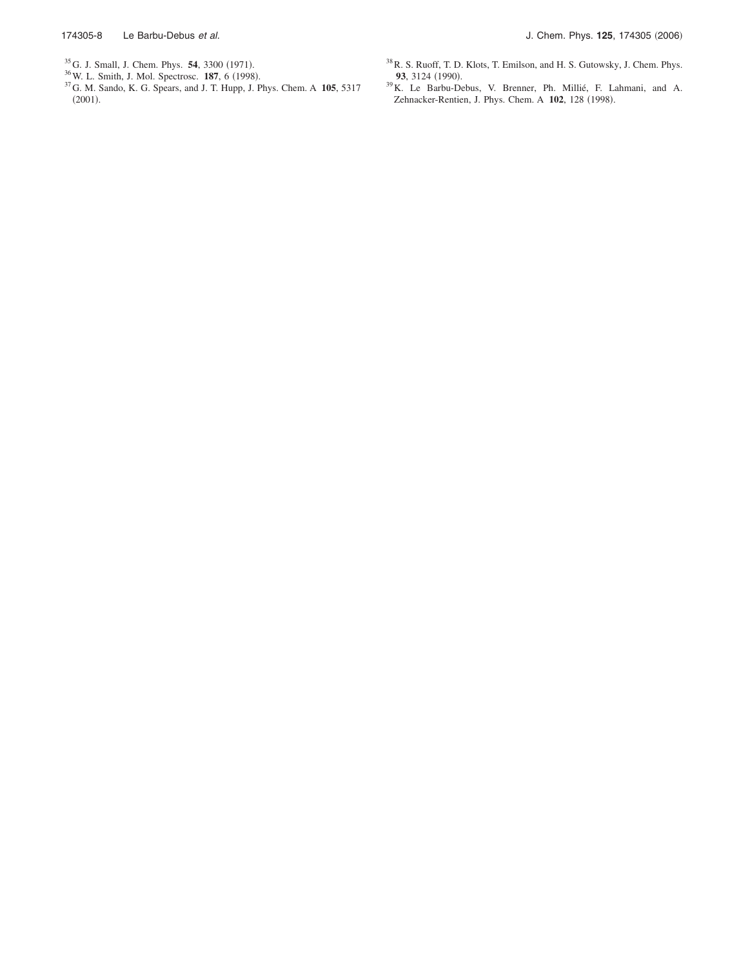- 
- 
- <sup>35</sup> G. J. Small, J. Chem. Phys. **54**, 3300 (1971).<br><sup>36</sup> W. L. Smith, J. Mol. Spectrosc. **187**, 6 (1998).<br><sup>37</sup> G. M. Sando, K. G. Spears, and J. T. Hupp, J. Phys. Chem. A **105**, 5317  $(2001).$
- $^{38}\rm R$ . S. Ruoff, T. D. Klots, T. Emilson, and H. S. Gutowsky, J. Chem. Phys. 93, 3124 (1990).
- <sup>39</sup>K. Le Barbu-Debus, V. Brenner, Ph. Millié, F. Lahmani, and A. Zehnacker-Rentien, J. Phys. Chem. A 102, 128 (1998).